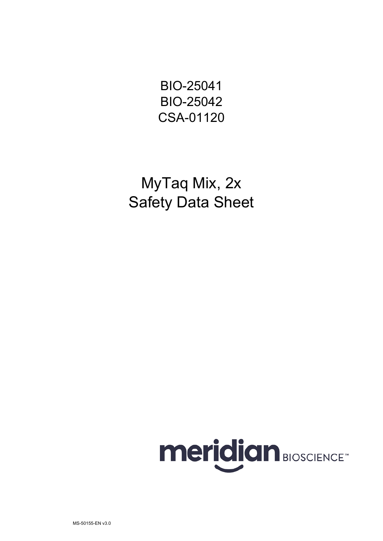BIO-25041 BIO-25042 CSA-01120

MyTaq Mix, 2x Safety Data Sheet

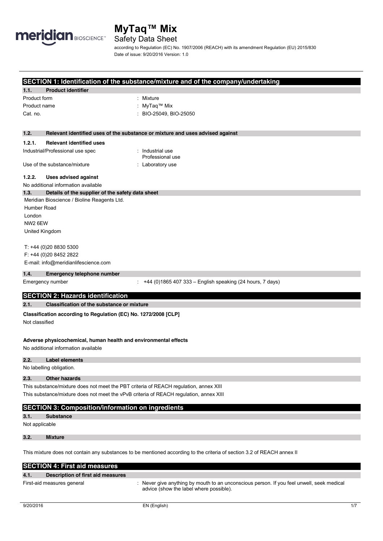

# Safety Data Sheet

according to Regulation (EC) No. 1907/2006 (REACH) with its amendment Regulation (EU) 2015/830 Date of issue: 9/20/2016 Version: 1.0

## **SECTION 1: Identification of the substance/mixture and of the company/undertaking**

|                |                                                                                        | SECTION 1: identification of the substance/inixture and of the company/undertaking |
|----------------|----------------------------------------------------------------------------------------|------------------------------------------------------------------------------------|
| 1.1.           | <b>Product identifier</b>                                                              |                                                                                    |
| Product form   |                                                                                        | Mixture                                                                            |
| Product name   |                                                                                        | MyTaq <sup>™</sup> Mix                                                             |
| Cat. no.       |                                                                                        | : BIO-25049, BIO-25050                                                             |
|                |                                                                                        |                                                                                    |
| 1.2.           |                                                                                        | Relevant identified uses of the substance or mixture and uses advised against      |
| 1.2.1.         | <b>Relevant identified uses</b>                                                        |                                                                                    |
|                | Industrial/Professional use spec                                                       | : Industrial use<br>Professional use                                               |
|                | Use of the substance/mixture                                                           | : Laboratory use                                                                   |
| 1.2.2.         | Uses advised against                                                                   |                                                                                    |
|                | No additional information available                                                    |                                                                                    |
| 1.3.           | Details of the supplier of the safety data sheet                                       |                                                                                    |
|                | Meridian Bioscience / Bioline Reagents Ltd.                                            |                                                                                    |
| Humber Road    |                                                                                        |                                                                                    |
| London         |                                                                                        |                                                                                    |
| NW2 6EW        |                                                                                        |                                                                                    |
| United Kingdom |                                                                                        |                                                                                    |
|                | T: +44 (0)20 8830 5300                                                                 |                                                                                    |
|                | F: +44 (0)20 8452 2822                                                                 |                                                                                    |
|                | E-mail: info@meridianlifescience.com                                                   |                                                                                    |
| 1.4.           | <b>Emergency telephone number</b>                                                      |                                                                                    |
|                | Emergency number                                                                       | +44 (0)1865 407 333 - English speaking (24 hours, 7 days)                          |
|                | <b>SECTION 2: Hazards identification</b>                                               |                                                                                    |
| 2.1.           | Classification of the substance or mixture                                             |                                                                                    |
|                | Classification according to Regulation (EC) No. 1272/2008 [CLP]                        |                                                                                    |
| Not classified |                                                                                        |                                                                                    |
|                | Adverse physicochemical, human health and environmental effects                        |                                                                                    |
|                | No additional information available                                                    |                                                                                    |
| 2.2.           | <b>Label elements</b>                                                                  |                                                                                    |
|                | No labelling obligation.                                                               |                                                                                    |
| 2.3.           | <b>Other hazards</b>                                                                   |                                                                                    |
|                | This substance/mixture does not meet the PBT criteria of REACH regulation, annex XIII  |                                                                                    |
|                | This substance/mixture does not meet the vPvB criteria of REACH regulation, annex XIII |                                                                                    |

## **SECTION 3: Composition/information on ingredients**

**3.1. Substance** 

Not applicable

**3.2. Mixture** 

This mixture does not contain any substances to be mentioned according to the criteria of section 3.2 of REACH annex II

| <b>SECTION 4: First aid measures</b>      |                                                                                                                                    |  |
|-------------------------------------------|------------------------------------------------------------------------------------------------------------------------------------|--|
| 4.1.<br>Description of first aid measures |                                                                                                                                    |  |
| First-aid measures general                | Never give anything by mouth to an unconscious person. If you feel unwell, seek medical<br>advice (show the label where possible). |  |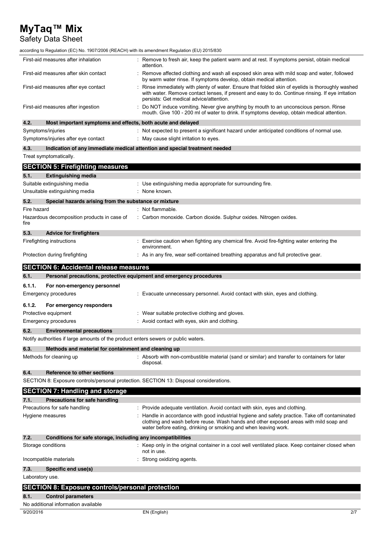# Safety Data Sheet

| according to Regulation (EC) No. 1907/2006 (REACH) with its amendment Regulation (EU) 2015/830 |                                                                                                                                                                                                                                                 |
|------------------------------------------------------------------------------------------------|-------------------------------------------------------------------------------------------------------------------------------------------------------------------------------------------------------------------------------------------------|
| First-aid measures after inhalation                                                            | : Remove to fresh air, keep the patient warm and at rest. If symptoms persist, obtain medical<br>attention.                                                                                                                                     |
| First-aid measures after skin contact                                                          | : Remove affected clothing and wash all exposed skin area with mild soap and water, followed<br>by warm water rinse. If symptoms develop, obtain medical attention.                                                                             |
| First-aid measures after eye contact                                                           | Rinse immediately with plenty of water. Ensure that folded skin of eyelids is thoroughly washed<br>with water. Remove contact lenses, if present and easy to do. Continue rinsing. If eye irritation<br>persists: Get medical advice/attention. |
| First-aid measures after ingestion                                                             | Do NOT induce vomiting. Never give anything by mouth to an unconscious person. Rinse<br>mouth. Give 100 - 200 ml of water to drink. If symptoms develop, obtain medical attention.                                                              |
| 4.2.<br>Most important symptoms and effects, both acute and delayed                            |                                                                                                                                                                                                                                                 |
| Symptoms/injuries                                                                              | : Not expected to present a significant hazard under anticipated conditions of normal use.                                                                                                                                                      |
| Symptoms/injuries after eye contact                                                            | : May cause slight irritation to eyes.                                                                                                                                                                                                          |
| 4.3.                                                                                           | Indication of any immediate medical attention and special treatment needed                                                                                                                                                                      |
| Treat symptomatically.                                                                         |                                                                                                                                                                                                                                                 |
| <b>SECTION 5: Firefighting measures</b>                                                        |                                                                                                                                                                                                                                                 |
| 5.1.<br><b>Extinguishing media</b>                                                             |                                                                                                                                                                                                                                                 |
| Suitable extinguishing media                                                                   | : Use extinguishing media appropriate for surrounding fire.                                                                                                                                                                                     |
| Unsuitable extinguishing media                                                                 | : None known.                                                                                                                                                                                                                                   |
| 5.2.<br>Special hazards arising from the substance or mixture                                  |                                                                                                                                                                                                                                                 |
| Fire hazard                                                                                    | : Not flammable.                                                                                                                                                                                                                                |
| Hazardous decomposition products in case of                                                    | : Carbon monoxide. Carbon dioxide. Sulphur oxides. Nitrogen oxides.                                                                                                                                                                             |
| fire                                                                                           |                                                                                                                                                                                                                                                 |
| 5.3.<br><b>Advice for firefighters</b>                                                         |                                                                                                                                                                                                                                                 |
| Firefighting instructions                                                                      | : Exercise caution when fighting any chemical fire. Avoid fire-fighting water entering the<br>environment.                                                                                                                                      |
| Protection during firefighting                                                                 | : As in any fire, wear self-contained breathing apparatus and full protective gear.                                                                                                                                                             |
| <b>SECTION 6: Accidental release measures</b>                                                  |                                                                                                                                                                                                                                                 |
| 6.1.<br>Personal precautions, protective equipment and emergency procedures                    |                                                                                                                                                                                                                                                 |
| 6.1.1.<br>For non-emergency personnel                                                          |                                                                                                                                                                                                                                                 |
| Emergency procedures                                                                           | : Evacuate unnecessary personnel. Avoid contact with skin, eyes and clothing.                                                                                                                                                                   |
| 6.1.2.<br>For emergency responders                                                             |                                                                                                                                                                                                                                                 |
| Protective equipment                                                                           | : Wear suitable protective clothing and gloves.                                                                                                                                                                                                 |
| Emergency procedures                                                                           | : Avoid contact with eyes, skin and clothing.                                                                                                                                                                                                   |
| 6.2.<br><b>Environmental precautions</b>                                                       |                                                                                                                                                                                                                                                 |
| Notify authorities if large amounts of the product enters sewers or public waters.             |                                                                                                                                                                                                                                                 |
| 6.3.<br>Methods and material for containment and cleaning up                                   |                                                                                                                                                                                                                                                 |
| Methods for cleaning up                                                                        | : Absorb with non-combustible material (sand or similar) and transfer to containers for later                                                                                                                                                   |
|                                                                                                | disposal.                                                                                                                                                                                                                                       |
| 6.4.<br>Reference to other sections                                                            |                                                                                                                                                                                                                                                 |
| SECTION 8: Exposure controls/personal protection. SECTION 13: Disposal considerations.         |                                                                                                                                                                                                                                                 |
| <b>SECTION 7: Handling and storage</b>                                                         |                                                                                                                                                                                                                                                 |
| 7.1.<br>Precautions for safe handling                                                          |                                                                                                                                                                                                                                                 |
| Precautions for safe handling                                                                  | : Provide adequate ventilation. Avoid contact with skin, eyes and clothing.                                                                                                                                                                     |
| Hygiene measures                                                                               | : Handle in accordance with good industrial hygiene and safety practice. Take off contaminated                                                                                                                                                  |
|                                                                                                | clothing and wash before reuse. Wash hands and other exposed areas with mild soap and<br>water before eating, drinking or smoking and when leaving work.                                                                                        |
| 7.2.<br>Conditions for safe storage, including any incompatibilities                           |                                                                                                                                                                                                                                                 |
| Storage conditions                                                                             | : Keep only in the original container in a cool well ventilated place. Keep container closed when<br>not in use.                                                                                                                                |
| Incompatible materials                                                                         | : Strong oxidizing agents.                                                                                                                                                                                                                      |
| 7.3.<br>Specific end use(s)                                                                    |                                                                                                                                                                                                                                                 |
| Laboratory use.                                                                                |                                                                                                                                                                                                                                                 |
| <b>SECTION 8: Exposure controls/personal protection</b>                                        |                                                                                                                                                                                                                                                 |
|                                                                                                |                                                                                                                                                                                                                                                 |
| 8.1.<br><b>Control parameters</b><br>No additional information available                       |                                                                                                                                                                                                                                                 |
|                                                                                                |                                                                                                                                                                                                                                                 |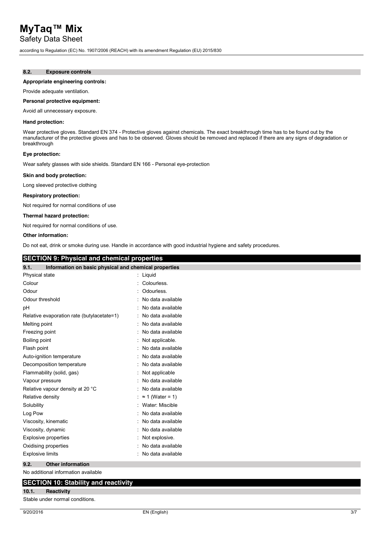Safety Data Sheet

according to Regulation (EC) No. 1907/2006 (REACH) with its amendment Regulation (EU) 2015/830

#### **8.2. Exposure controls**

#### **Appropriate engineering controls:**

Provide adequate ventilation.

#### **Personal protective equipment:**

Avoid all unnecessary exposure.

#### **Hand protection:**

Wear protective gloves. Standard EN 374 - Protective gloves against chemicals. The exact breakthrough time has to be found out by the manufacturer of the protective gloves and has to be observed. Gloves should be removed and replaced if there are any signs of degradation or breakthrough

#### **Eye protection:**

Wear safety glasses with side shields. Standard EN 166 - Personal eye-protection

#### **Skin and body protection:**

Long sleeved protective clothing

#### **Respiratory protection:**

Not required for normal conditions of use

#### **Thermal hazard protection:**

Not required for normal conditions of use.

#### **Other information:**

Do not eat, drink or smoke during use. Handle in accordance with good industrial hygiene and safety procedures.

## **SECTION 9: Physical and chemical properties**

| 9.1.<br>Information on basic physical and chemical properties |                         |
|---------------------------------------------------------------|-------------------------|
| Physical state                                                | : Liquid                |
| Colour                                                        | Colourless.             |
| Odour                                                         | Odourless.              |
| Odour threshold                                               | No data available       |
| рH                                                            | No data available       |
| Relative evaporation rate (butylacetate=1)                    | No data available       |
| Melting point                                                 | No data available       |
| Freezing point                                                | No data available       |
| Boiling point                                                 | Not applicable.         |
| Flash point                                                   | No data available       |
| Auto-ignition temperature                                     | No data available       |
| Decomposition temperature                                     | No data available       |
| Flammability (solid, gas)                                     | Not applicable          |
| Vapour pressure                                               | No data available       |
| Relative vapour density at 20 °C                              | No data available       |
| Relative density                                              | $\approx$ 1 (Water = 1) |
| Solubility                                                    | Water: Miscible         |
| Log Pow                                                       | No data available       |
| Viscosity, kinematic                                          | No data available       |
| Viscosity, dynamic                                            | No data available       |
| <b>Explosive properties</b>                                   | Not explosive.          |
| Oxidising properties                                          | No data available       |
| <b>Explosive limits</b>                                       | No data available       |
| 9.2.<br><b>Other information</b>                              |                         |
| No additional information available                           |                         |
|                                                               |                         |

### **SECTION 10: Stability and reactivity**

#### **10.1. Reactivity**

Stable under normal conditions.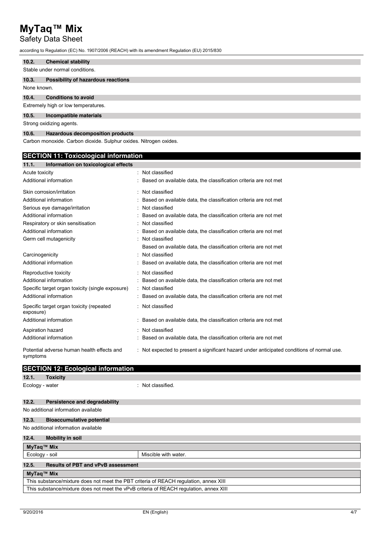## Safety Data Sheet

according to Regulation (EC) No. 1907/2006 (REACH) with its amendment Regulation (EU) 2015/830

#### **10.2. Chemical stability**

Stable under normal conditions.

#### **10.3. Possibility of hazardous reactions**

None known.

#### **10.4. Conditions to avoid**

Extremely high or low temperatures.

#### **10.5. Incompatible materials**

Strong oxidizing agents.

#### **10.6. Hazardous decomposition products**

Carbon monoxide. Carbon dioxide. Sulphur oxides. Nitrogen oxides.

## **SECTION 11: Toxicological information**

| 11.1.<br>Information on toxicological effects          |                                                                                          |
|--------------------------------------------------------|------------------------------------------------------------------------------------------|
| Acute toxicity                                         | Not classified                                                                           |
| Additional information                                 | Based on available data, the classification criteria are not met                         |
| Skin corrosion/irritation                              | Not classified                                                                           |
| Additional information                                 | Based on available data, the classification criteria are not met                         |
| Serious eye damage/irritation                          | Not classified                                                                           |
| Additional information                                 | Based on available data, the classification criteria are not met                         |
| Respiratory or skin sensitisation                      | Not classified                                                                           |
| Additional information                                 | Based on available data, the classification criteria are not met                         |
| Germ cell mutagenicity                                 | Not classified                                                                           |
|                                                        | Based on available data, the classification criteria are not met                         |
| Carcinogenicity                                        | Not classified                                                                           |
| Additional information                                 | Based on available data, the classification criteria are not met                         |
| Reproductive toxicity                                  | Not classified                                                                           |
| Additional information                                 | Based on available data, the classification criteria are not met                         |
| Specific target organ toxicity (single exposure)       | : Not classified                                                                         |
| Additional information                                 | Based on available data, the classification criteria are not met                         |
| Specific target organ toxicity (repeated<br>exposure)  | Not classified                                                                           |
| Additional information                                 | Based on available data, the classification criteria are not met                         |
| Aspiration hazard                                      | Not classified                                                                           |
| Additional information                                 | Based on available data, the classification criteria are not met                         |
| Potential adverse human health effects and<br>symptoms | Not expected to present a significant hazard under anticipated conditions of normal use. |

|                                                                                       | <b>SECTION 12: Ecological information</b> |                      |  |  |
|---------------------------------------------------------------------------------------|-------------------------------------------|----------------------|--|--|
| 12.1.                                                                                 | <b>Toxicity</b>                           |                      |  |  |
| Ecology - water                                                                       | ٠                                         | Not classified.      |  |  |
| 12.2.                                                                                 | <b>Persistence and degradability</b>      |                      |  |  |
| No additional information available                                                   |                                           |                      |  |  |
| 12.3.                                                                                 | <b>Bioaccumulative potential</b>          |                      |  |  |
| No additional information available                                                   |                                           |                      |  |  |
| 12.4.                                                                                 | <b>Mobility in soil</b>                   |                      |  |  |
| MyTaq™ Mix                                                                            |                                           |                      |  |  |
| Ecology - soil                                                                        |                                           | Miscible with water. |  |  |
| 12.5.                                                                                 | <b>Results of PBT and vPvB assessment</b> |                      |  |  |
| MyTaq™ Mix                                                                            |                                           |                      |  |  |
| This substance/mixture does not meet the PBT criteria of REACH regulation, annex XIII |                                           |                      |  |  |

This substance/mixture does not meet the vPvB criteria of REACH regulation, annex XIII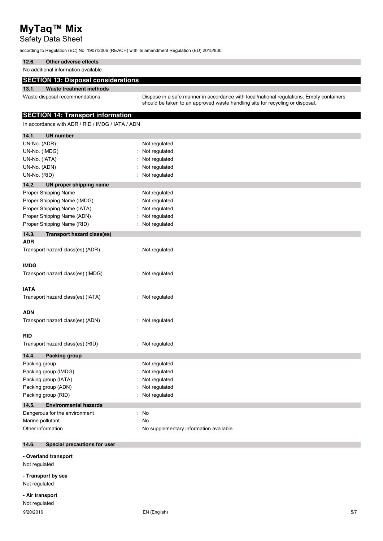# Safety Data Sheet

according to Regulation (EC) No. 1907/2006 (REACH) with its amendment Regulation (EU) 2015/830

| 12.6.<br>Other adverse effects                   |                                                                                                                                                                             |
|--------------------------------------------------|-----------------------------------------------------------------------------------------------------------------------------------------------------------------------------|
| No additional information available              |                                                                                                                                                                             |
| <b>SECTION 13: Disposal considerations</b>       |                                                                                                                                                                             |
| 13.1.<br><b>Waste treatment methods</b>          |                                                                                                                                                                             |
| Waste disposal recommendations                   | : Dispose in a safe manner in accordance with local/national regulations. Empty containers<br>should be taken to an approved waste handling site for recycling or disposal. |
| <b>SECTION 14: Transport information</b>         |                                                                                                                                                                             |
| In accordance with ADR / RID / IMDG / IATA / ADN |                                                                                                                                                                             |
| 14.1.<br><b>UN number</b>                        |                                                                                                                                                                             |
| UN-No. (ADR)                                     | : Not regulated                                                                                                                                                             |
| UN-No. (IMDG)                                    | Not regulated                                                                                                                                                               |
| UN-No. (IATA)                                    | Not regulated                                                                                                                                                               |
| UN-No. (ADN)                                     | Not regulated                                                                                                                                                               |
| UN-No. (RID)                                     | : Not regulated                                                                                                                                                             |
| 14.2.<br>UN proper shipping name                 |                                                                                                                                                                             |
| Proper Shipping Name                             | : Not regulated                                                                                                                                                             |
| Proper Shipping Name (IMDG)                      | Not regulated                                                                                                                                                               |
| Proper Shipping Name (IATA)                      | Not regulated                                                                                                                                                               |
| Proper Shipping Name (ADN)                       | Not regulated                                                                                                                                                               |
| Proper Shipping Name (RID)                       | : Not regulated                                                                                                                                                             |
| 14.3.<br>Transport hazard class(es)              |                                                                                                                                                                             |
| <b>ADR</b>                                       |                                                                                                                                                                             |
| Transport hazard class(es) (ADR)                 | : Not regulated                                                                                                                                                             |
|                                                  |                                                                                                                                                                             |
| <b>IMDG</b>                                      |                                                                                                                                                                             |
| Transport hazard class(es) (IMDG)                | : Not regulated                                                                                                                                                             |
|                                                  |                                                                                                                                                                             |
| <b>IATA</b>                                      |                                                                                                                                                                             |
| Transport hazard class(es) (IATA)                | : Not regulated                                                                                                                                                             |
|                                                  |                                                                                                                                                                             |
| ADN                                              |                                                                                                                                                                             |
| Transport hazard class(es) (ADN)                 | : Not regulated                                                                                                                                                             |
|                                                  |                                                                                                                                                                             |
| RID                                              |                                                                                                                                                                             |
| Transport hazard class(es) (RID)                 | : Not regulated                                                                                                                                                             |
| 14.4.<br>Packing group                           |                                                                                                                                                                             |
| Packing group                                    | : Not regulated                                                                                                                                                             |
| Packing group (IMDG)                             | Not regulated                                                                                                                                                               |
| Packing group (IATA)                             | Not regulated                                                                                                                                                               |
| Packing group (ADN)                              | Not regulated                                                                                                                                                               |
| Packing group (RID)                              | : Not regulated                                                                                                                                                             |
| 14.5.<br><b>Environmental hazards</b>            |                                                                                                                                                                             |
| Dangerous for the environment                    | : No                                                                                                                                                                        |
| Marine pollutant                                 | : No                                                                                                                                                                        |
| Other information                                | : No supplementary information available                                                                                                                                    |
| 14.6.<br>Special precautions for user            |                                                                                                                                                                             |
| - Overland transport                             |                                                                                                                                                                             |
| Not regulated                                    |                                                                                                                                                                             |
|                                                  |                                                                                                                                                                             |
| - Transport by sea                               |                                                                                                                                                                             |
| Not regulated                                    |                                                                                                                                                                             |
| - Air transport                                  |                                                                                                                                                                             |
| Not regulated                                    |                                                                                                                                                                             |
| 9/20/2016                                        | EN (English)<br>5/7                                                                                                                                                         |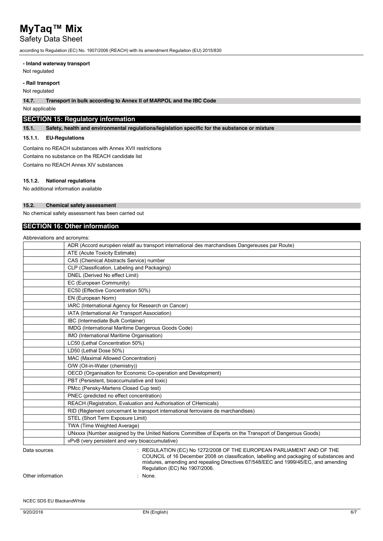## Safety Data Sheet

according to Regulation (EC) No. 1907/2006 (REACH) with its amendment Regulation (EU) 2015/830

#### **- Inland waterway transport**

Not regulated

#### **- Rail transport**

Not regulated

**14.7. Transport in bulk according to Annex II of MARPOL and the IBC Code**

Not applicable

## **SECTION 15: Regulatory information**

**15.1. Safety, health and environmental regulations/legislation specific for the substance or mixture**

### **15.1.1. EU-Regulations**

Contains no REACH substances with Annex XVII restrictions Contains no substance on the REACH candidate list Contains no REACH Annex XIV substances

# **15.1.2. National regulations**

No additional information available

#### **15.2. Chemical safety assessment**

No chemical safety assessment has been carried out

### **SECTION 16: Other information**

| Abbreviations and acronyms: |                                                                                                                                                                                                                                                                                          |
|-----------------------------|------------------------------------------------------------------------------------------------------------------------------------------------------------------------------------------------------------------------------------------------------------------------------------------|
|                             | ADR (Accord européen relatif au transport international des marchandises Dangereuses par Route)                                                                                                                                                                                          |
|                             | ATE (Acute Toxicity Estimate)                                                                                                                                                                                                                                                            |
|                             | CAS (Chemical Abstracts Service) number                                                                                                                                                                                                                                                  |
|                             | CLP (Classification, Labeling and Packaging)                                                                                                                                                                                                                                             |
|                             | DNEL (Derived No effect Limit)                                                                                                                                                                                                                                                           |
|                             | EC (European Community)                                                                                                                                                                                                                                                                  |
|                             | EC50 (Effective Concentration 50%)                                                                                                                                                                                                                                                       |
|                             | EN (European Norm)                                                                                                                                                                                                                                                                       |
|                             | IARC (International Agency for Research on Cancer)                                                                                                                                                                                                                                       |
|                             | IATA (International Air Transport Association)                                                                                                                                                                                                                                           |
|                             | IBC (Intermediate Bulk Container)                                                                                                                                                                                                                                                        |
|                             | IMDG (International Maritime Dangerous Goods Code)                                                                                                                                                                                                                                       |
|                             | IMO (International Maritime Organisation)                                                                                                                                                                                                                                                |
|                             | LC50 (Lethal Concentration 50%)                                                                                                                                                                                                                                                          |
|                             | LD50 (Lethal Dose 50%)                                                                                                                                                                                                                                                                   |
|                             | MAC (Maximal Allowed Concentration)                                                                                                                                                                                                                                                      |
|                             | O/W (Oil-in-Water (chemistry))                                                                                                                                                                                                                                                           |
|                             | OECD (Organisation for Economic Co-operation and Development)                                                                                                                                                                                                                            |
|                             | PBT (Persistent, bioaccumulative and toxic)                                                                                                                                                                                                                                              |
|                             | PMcc (Pensky-Martens Closed Cup test)                                                                                                                                                                                                                                                    |
|                             | PNEC (predicted no effect concentration)                                                                                                                                                                                                                                                 |
|                             | REACH (Registration, Evaluation and Authorisation of CHemicals)                                                                                                                                                                                                                          |
|                             | RID (Règlement concernant le transport international ferroviaire de marchandises)                                                                                                                                                                                                        |
|                             | STEL (Short Term Exposure Limit)                                                                                                                                                                                                                                                         |
|                             | TWA (Time Weighted Average)                                                                                                                                                                                                                                                              |
|                             | UNxxxx (Number assigned by the United Nations Committee of Experts on the Transport of Dangerous Goods)                                                                                                                                                                                  |
|                             | vPvB (very persistent and very bioaccumulative)                                                                                                                                                                                                                                          |
| Data sources                | : REGULATION (EC) No 1272/2008 OF THE EUROPEAN PARLIAMENT AND OF THE<br>COUNCIL of 16 December 2008 on classification, labelling and packaging of substances and<br>mixtures, amending and repealing Directives 67/548/EEC and 1999/45/EC, and amending<br>Regulation (EC) No 1907/2006. |

Other information : None.